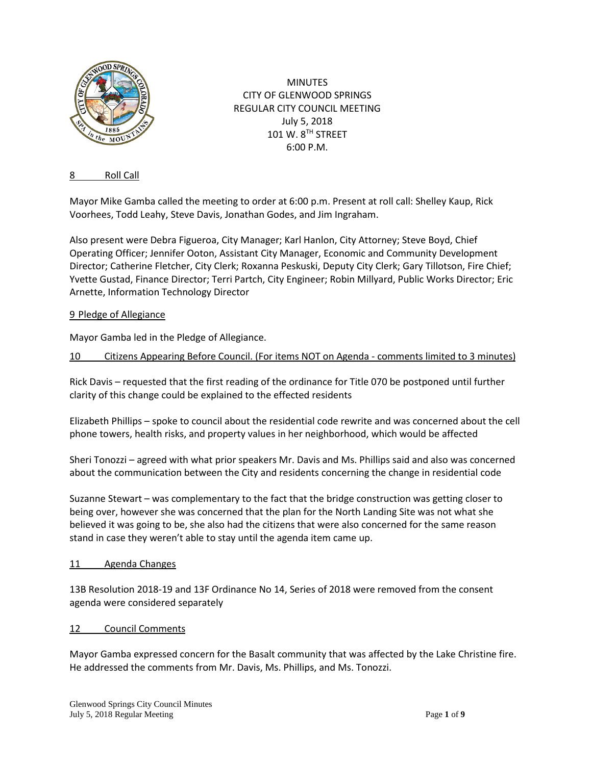

MINUTES CITY OF GLENWOOD SPRINGS REGULAR CITY COUNCIL MEETING July 5, 2018 101 W. 8TH STREET 6:00 P.M.

### 8 Roll Call

Mayor Mike Gamba called the meeting to order at 6:00 p.m. Present at roll call: Shelley Kaup, Rick Voorhees, Todd Leahy, Steve Davis, Jonathan Godes, and Jim Ingraham.

Also present were Debra Figueroa, City Manager; Karl Hanlon, City Attorney; Steve Boyd, Chief Operating Officer; Jennifer Ooton, Assistant City Manager, Economic and Community Development Director; Catherine Fletcher, City Clerk; Roxanna Peskuski, Deputy City Clerk; Gary Tillotson, Fire Chief; Yvette Gustad, Finance Director; Terri Partch, City Engineer; Robin Millyard, Public Works Director; Eric Arnette, Information Technology Director

## 9 Pledge of Allegiance

Mayor Gamba led in the Pledge of Allegiance.

## 10 Citizens Appearing Before Council. (For items NOT on Agenda - comments limited to 3 minutes)

Rick Davis – requested that the first reading of the ordinance for Title 070 be postponed until further clarity of this change could be explained to the effected residents

Elizabeth Phillips – spoke to council about the residential code rewrite and was concerned about the cell phone towers, health risks, and property values in her neighborhood, which would be affected

Sheri Tonozzi – agreed with what prior speakers Mr. Davis and Ms. Phillips said and also was concerned about the communication between the City and residents concerning the change in residential code

Suzanne Stewart – was complementary to the fact that the bridge construction was getting closer to being over, however she was concerned that the plan for the North Landing Site was not what she believed it was going to be, she also had the citizens that were also concerned for the same reason stand in case they weren't able to stay until the agenda item came up.

### 11 Agenda Changes

13B Resolution 2018-19 and 13F Ordinance No 14, Series of 2018 were removed from the consent agenda were considered separately

### 12 Council Comments

Mayor Gamba expressed concern for the Basalt community that was affected by the Lake Christine fire. He addressed the comments from Mr. Davis, Ms. Phillips, and Ms. Tonozzi.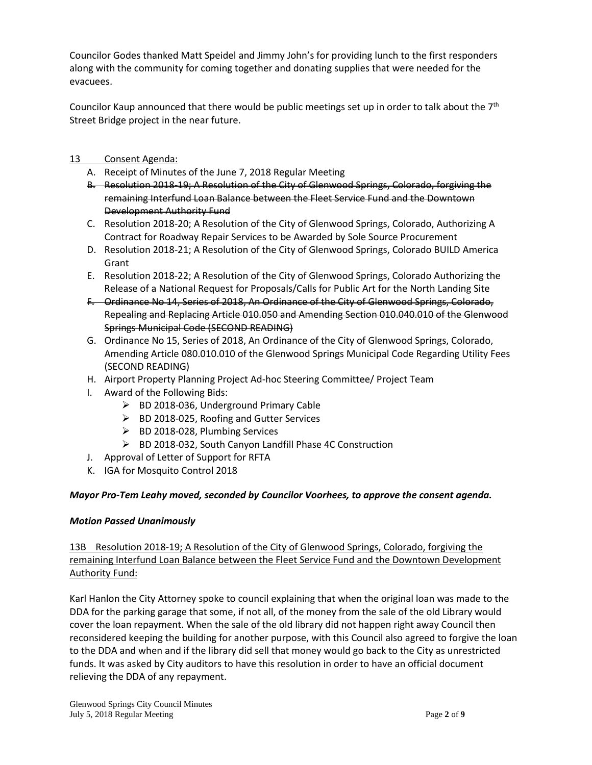Councilor Godes thanked Matt Speidel and Jimmy John's for providing lunch to the first responders along with the community for coming together and donating supplies that were needed for the evacuees.

Councilor Kaup announced that there would be public meetings set up in order to talk about the  $7<sup>th</sup>$ Street Bridge project in the near future.

# 13 Consent Agenda:

- A. Receipt of Minutes of the June 7, 2018 Regular Meeting
- B. Resolution 2018-19; A Resolution of the City of Glenwood Springs, Colorado, forgiving the remaining Interfund Loan Balance between the Fleet Service Fund and the Downtown Development Authority Fund
- C. Resolution 2018-20; A Resolution of the City of Glenwood Springs, Colorado, Authorizing A Contract for Roadway Repair Services to be Awarded by Sole Source Procurement
- D. Resolution 2018-21; A Resolution of the City of Glenwood Springs, Colorado BUILD America Grant
- E. Resolution 2018-22; A Resolution of the City of Glenwood Springs, Colorado Authorizing the Release of a National Request for Proposals/Calls for Public Art for the North Landing Site
- F. Ordinance No 14, Series of 2018, An Ordinance of the City of Glenwood Springs, Colorado, Repealing and Replacing Article 010.050 and Amending Section 010.040.010 of the Glenwood Springs Municipal Code (SECOND READING)
- G. Ordinance No 15, Series of 2018, An Ordinance of the City of Glenwood Springs, Colorado, Amending Article 080.010.010 of the Glenwood Springs Municipal Code Regarding Utility Fees (SECOND READING)
- H. Airport Property Planning Project Ad-hoc Steering Committee/ Project Team
- I. Award of the Following Bids:
	- BD 2018-036, Underground Primary Cable
	- $\triangleright$  BD 2018-025, Roofing and Gutter Services
	- $\triangleright$  BD 2018-028, Plumbing Services
	- BD 2018-032, South Canyon Landfill Phase 4C Construction
- J. Approval of Letter of Support for RFTA
- K. IGA for Mosquito Control 2018

## *Mayor Pro-Tem Leahy moved, seconded by Councilor Voorhees, to approve the consent agenda.*

## *Motion Passed Unanimously*

13B Resolution 2018-19; A Resolution of the City of Glenwood Springs, Colorado, forgiving the remaining Interfund Loan Balance between the Fleet Service Fund and the Downtown Development Authority Fund:

Karl Hanlon the City Attorney spoke to council explaining that when the original loan was made to the DDA for the parking garage that some, if not all, of the money from the sale of the old Library would cover the loan repayment. When the sale of the old library did not happen right away Council then reconsidered keeping the building for another purpose, with this Council also agreed to forgive the loan to the DDA and when and if the library did sell that money would go back to the City as unrestricted funds. It was asked by City auditors to have this resolution in order to have an official document relieving the DDA of any repayment.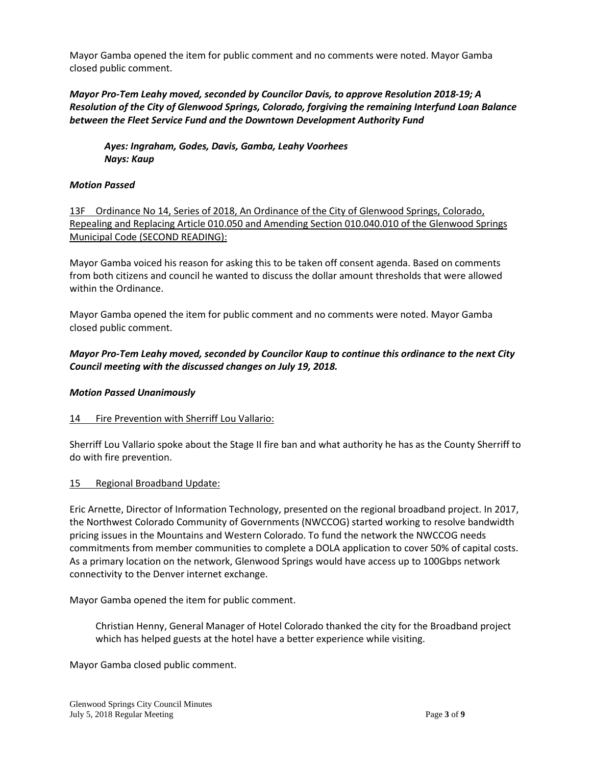Mayor Gamba opened the item for public comment and no comments were noted. Mayor Gamba closed public comment.

## *Mayor Pro-Tem Leahy moved, seconded by Councilor Davis, to approve Resolution 2018-19; A Resolution of the City of Glenwood Springs, Colorado, forgiving the remaining Interfund Loan Balance between the Fleet Service Fund and the Downtown Development Authority Fund*

*Ayes: Ingraham, Godes, Davis, Gamba, Leahy Voorhees Nays: Kaup*

### *Motion Passed*

13F Ordinance No 14, Series of 2018, An Ordinance of the City of Glenwood Springs, Colorado, Repealing and Replacing Article 010.050 and Amending Section 010.040.010 of the Glenwood Springs Municipal Code (SECOND READING):

Mayor Gamba voiced his reason for asking this to be taken off consent agenda. Based on comments from both citizens and council he wanted to discuss the dollar amount thresholds that were allowed within the Ordinance.

Mayor Gamba opened the item for public comment and no comments were noted. Mayor Gamba closed public comment.

## *Mayor Pro-Tem Leahy moved, seconded by Councilor Kaup to continue this ordinance to the next City Council meeting with the discussed changes on July 19, 2018.*

### *Motion Passed Unanimously*

### 14 Fire Prevention with Sherriff Lou Vallario:

Sherriff Lou Vallario spoke about the Stage II fire ban and what authority he has as the County Sherriff to do with fire prevention.

### 15 Regional Broadband Update:

Eric Arnette, Director of Information Technology, presented on the regional broadband project. In 2017, the Northwest Colorado Community of Governments (NWCCOG) started working to resolve bandwidth pricing issues in the Mountains and Western Colorado. To fund the network the NWCCOG needs commitments from member communities to complete a DOLA application to cover 50% of capital costs. As a primary location on the network, Glenwood Springs would have access up to 100Gbps network connectivity to the Denver internet exchange.

Mayor Gamba opened the item for public comment.

Christian Henny, General Manager of Hotel Colorado thanked the city for the Broadband project which has helped guests at the hotel have a better experience while visiting.

Mayor Gamba closed public comment.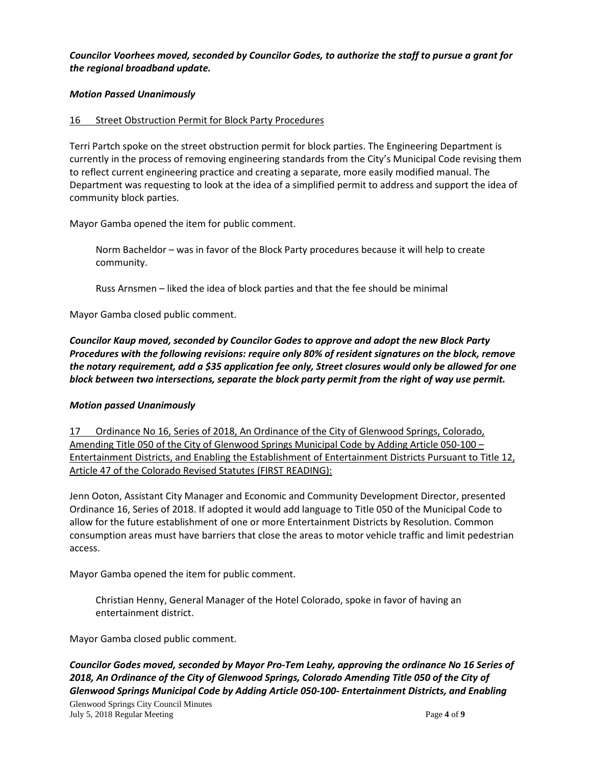### *Councilor Voorhees moved, seconded by Councilor Godes, to authorize the staff to pursue a grant for the regional broadband update.*

### *Motion Passed Unanimously*

#### 16 Street Obstruction Permit for Block Party Procedures

Terri Partch spoke on the street obstruction permit for block parties. The Engineering Department is currently in the process of removing engineering standards from the City's Municipal Code revising them to reflect current engineering practice and creating a separate, more easily modified manual. The Department was requesting to look at the idea of a simplified permit to address and support the idea of community block parties.

Mayor Gamba opened the item for public comment.

Norm Bacheldor – was in favor of the Block Party procedures because it will help to create community.

Russ Arnsmen – liked the idea of block parties and that the fee should be minimal

Mayor Gamba closed public comment.

*Councilor Kaup moved, seconded by Councilor Godes to approve and adopt the new Block Party Procedures with the following revisions: require only 80% of resident signatures on the block, remove the notary requirement, add a \$35 application fee only, Street closures would only be allowed for one block between two intersections, separate the block party permit from the right of way use permit.* 

#### *Motion passed Unanimously*

17 Ordinance No 16, Series of 2018, An Ordinance of the City of Glenwood Springs, Colorado, Amending Title 050 of the City of Glenwood Springs Municipal Code by Adding Article 050-100 – Entertainment Districts, and Enabling the Establishment of Entertainment Districts Pursuant to Title 12, Article 47 of the Colorado Revised Statutes (FIRST READING):

Jenn Ooton, Assistant City Manager and Economic and Community Development Director, presented Ordinance 16, Series of 2018. If adopted it would add language to Title 050 of the Municipal Code to allow for the future establishment of one or more Entertainment Districts by Resolution. Common consumption areas must have barriers that close the areas to motor vehicle traffic and limit pedestrian access.

Mayor Gamba opened the item for public comment.

Christian Henny, General Manager of the Hotel Colorado, spoke in favor of having an entertainment district.

Mayor Gamba closed public comment.

*Councilor Godes moved, seconded by Mayor Pro-Tem Leahy, approving the ordinance No 16 Series of 2018, An Ordinance of the City of Glenwood Springs, Colorado Amending Title 050 of the City of Glenwood Springs Municipal Code by Adding Article 050-100- Entertainment Districts, and Enabling*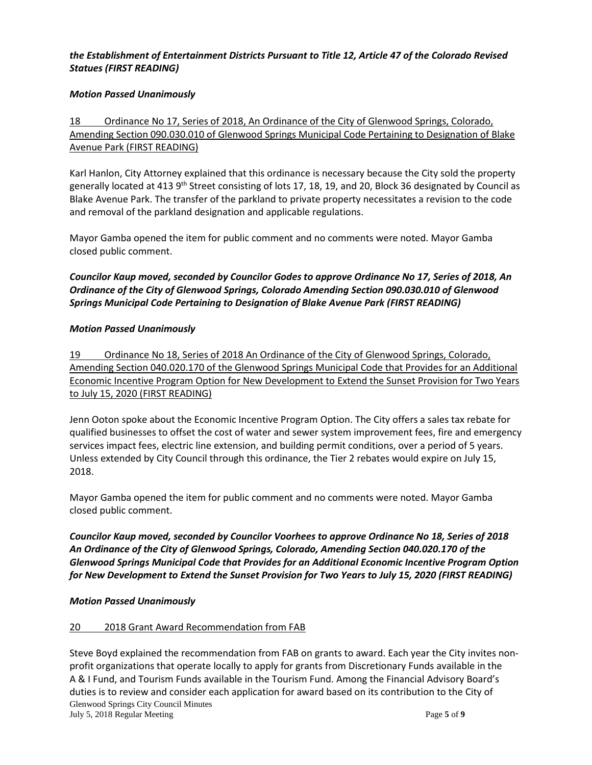## *the Establishment of Entertainment Districts Pursuant to Title 12, Article 47 of the Colorado Revised Statues (FIRST READING)*

## *Motion Passed Unanimously*

# 18 Ordinance No 17, Series of 2018, An Ordinance of the City of Glenwood Springs, Colorado, Amending Section 090.030.010 of Glenwood Springs Municipal Code Pertaining to Designation of Blake Avenue Park (FIRST READING)

Karl Hanlon, City Attorney explained that this ordinance is necessary because the City sold the property generally located at 413 9<sup>th</sup> Street consisting of lots 17, 18, 19, and 20, Block 36 designated by Council as Blake Avenue Park. The transfer of the parkland to private property necessitates a revision to the code and removal of the parkland designation and applicable regulations.

Mayor Gamba opened the item for public comment and no comments were noted. Mayor Gamba closed public comment.

*Councilor Kaup moved, seconded by Councilor Godes to approve Ordinance No 17, Series of 2018, An Ordinance of the City of Glenwood Springs, Colorado Amending Section 090.030.010 of Glenwood Springs Municipal Code Pertaining to Designation of Blake Avenue Park (FIRST READING)*

### *Motion Passed Unanimously*

19 Ordinance No 18, Series of 2018 An Ordinance of the City of Glenwood Springs, Colorado, Amending Section 040.020.170 of the Glenwood Springs Municipal Code that Provides for an Additional Economic Incentive Program Option for New Development to Extend the Sunset Provision for Two Years to July 15, 2020 (FIRST READING)

Jenn Ooton spoke about the Economic Incentive Program Option. The City offers a sales tax rebate for qualified businesses to offset the cost of water and sewer system improvement fees, fire and emergency services impact fees, electric line extension, and building permit conditions, over a period of 5 years. Unless extended by City Council through this ordinance, the Tier 2 rebates would expire on July 15, 2018.

Mayor Gamba opened the item for public comment and no comments were noted. Mayor Gamba closed public comment.

*Councilor Kaup moved, seconded by Councilor Voorhees to approve Ordinance No 18, Series of 2018 An Ordinance of the City of Glenwood Springs, Colorado, Amending Section 040.020.170 of the Glenwood Springs Municipal Code that Provides for an Additional Economic Incentive Program Option for New Development to Extend the Sunset Provision for Two Years to July 15, 2020 (FIRST READING)*

### *Motion Passed Unanimously*

### 20 2018 Grant Award Recommendation from FAB

Glenwood Springs City Council Minutes July 5, 2018 Regular Meeting **Page 5** of **9 Page 5** of **9** Steve Boyd explained the recommendation from FAB on grants to award. Each year the City invites nonprofit organizations that operate locally to apply for grants from Discretionary Funds available in the A & I Fund, and Tourism Funds available in the Tourism Fund. Among the Financial Advisory Board's duties is to review and consider each application for award based on its contribution to the City of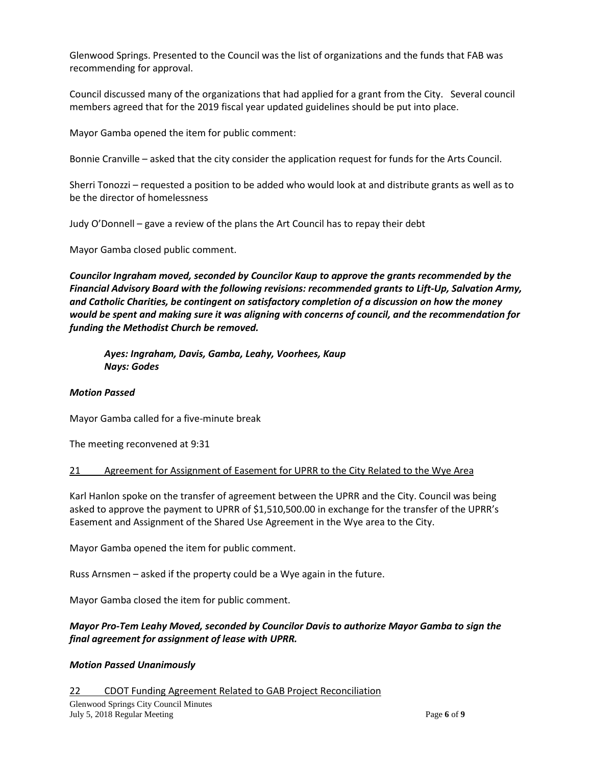Glenwood Springs. Presented to the Council was the list of organizations and the funds that FAB was recommending for approval.

Council discussed many of the organizations that had applied for a grant from the City. Several council members agreed that for the 2019 fiscal year updated guidelines should be put into place.

Mayor Gamba opened the item for public comment:

Bonnie Cranville – asked that the city consider the application request for funds for the Arts Council.

Sherri Tonozzi – requested a position to be added who would look at and distribute grants as well as to be the director of homelessness

Judy O'Donnell – gave a review of the plans the Art Council has to repay their debt

Mayor Gamba closed public comment.

*Councilor Ingraham moved, seconded by Councilor Kaup to approve the grants recommended by the Financial Advisory Board with the following revisions: recommended grants to Lift-Up, Salvation Army, and Catholic Charities, be contingent on satisfactory completion of a discussion on how the money would be spent and making sure it was aligning with concerns of council, and the recommendation for funding the Methodist Church be removed.* 

*Ayes: Ingraham, Davis, Gamba, Leahy, Voorhees, Kaup Nays: Godes*

### *Motion Passed*

Mayor Gamba called for a five-minute break

The meeting reconvened at 9:31

### 21 Agreement for Assignment of Easement for UPRR to the City Related to the Wye Area

Karl Hanlon spoke on the transfer of agreement between the UPRR and the City. Council was being asked to approve the payment to UPRR of \$1,510,500.00 in exchange for the transfer of the UPRR's Easement and Assignment of the Shared Use Agreement in the Wye area to the City.

Mayor Gamba opened the item for public comment.

Russ Arnsmen – asked if the property could be a Wye again in the future.

Mayor Gamba closed the item for public comment.

## *Mayor Pro-Tem Leahy Moved, seconded by Councilor Davis to authorize Mayor Gamba to sign the final agreement for assignment of lease with UPRR.*

### *Motion Passed Unanimously*

### 22 CDOT Funding Agreement Related to GAB Project Reconciliation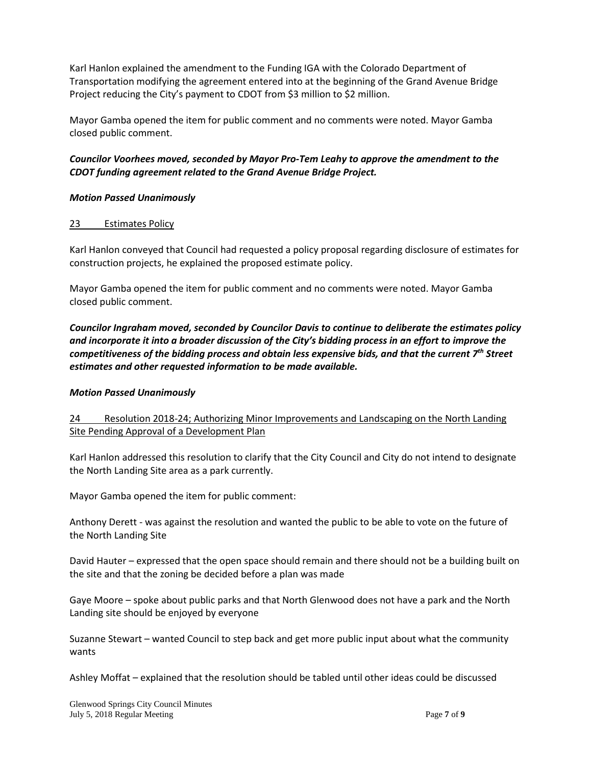Karl Hanlon explained the amendment to the Funding IGA with the Colorado Department of Transportation modifying the agreement entered into at the beginning of the Grand Avenue Bridge Project reducing the City's payment to CDOT from \$3 million to \$2 million.

Mayor Gamba opened the item for public comment and no comments were noted. Mayor Gamba closed public comment.

# *Councilor Voorhees moved, seconded by Mayor Pro-Tem Leahy to approve the amendment to the CDOT funding agreement related to the Grand Avenue Bridge Project.*

## *Motion Passed Unanimously*

## 23 Estimates Policy

Karl Hanlon conveyed that Council had requested a policy proposal regarding disclosure of estimates for construction projects, he explained the proposed estimate policy.

Mayor Gamba opened the item for public comment and no comments were noted. Mayor Gamba closed public comment.

*Councilor Ingraham moved, seconded by Councilor Davis to continue to deliberate the estimates policy and incorporate it into a broader discussion of the City's bidding process in an effort to improve the competitiveness of the bidding process and obtain less expensive bids, and that the current 7th Street estimates and other requested information to be made available.*

## *Motion Passed Unanimously*

24 Resolution 2018-24; Authorizing Minor Improvements and Landscaping on the North Landing Site Pending Approval of a Development Plan

Karl Hanlon addressed this resolution to clarify that the City Council and City do not intend to designate the North Landing Site area as a park currently.

Mayor Gamba opened the item for public comment:

Anthony Derett - was against the resolution and wanted the public to be able to vote on the future of the North Landing Site

David Hauter – expressed that the open space should remain and there should not be a building built on the site and that the zoning be decided before a plan was made

Gaye Moore – spoke about public parks and that North Glenwood does not have a park and the North Landing site should be enjoyed by everyone

Suzanne Stewart – wanted Council to step back and get more public input about what the community wants

Ashley Moffat – explained that the resolution should be tabled until other ideas could be discussed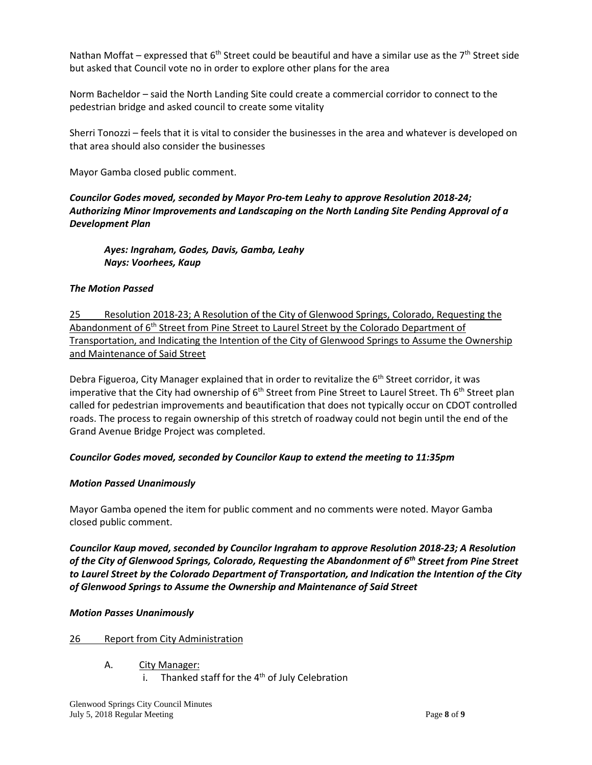Nathan Moffat – expressed that  $6<sup>th</sup>$  Street could be beautiful and have a similar use as the 7<sup>th</sup> Street side but asked that Council vote no in order to explore other plans for the area

Norm Bacheldor – said the North Landing Site could create a commercial corridor to connect to the pedestrian bridge and asked council to create some vitality

Sherri Tonozzi – feels that it is vital to consider the businesses in the area and whatever is developed on that area should also consider the businesses

Mayor Gamba closed public comment.

*Councilor Godes moved, seconded by Mayor Pro-tem Leahy to approve Resolution 2018-24; Authorizing Minor Improvements and Landscaping on the North Landing Site Pending Approval of a Development Plan*

*Ayes: Ingraham, Godes, Davis, Gamba, Leahy Nays: Voorhees, Kaup*

### *The Motion Passed*

25 Resolution 2018-23; A Resolution of the City of Glenwood Springs, Colorado, Requesting the Abandonment of 6<sup>th</sup> Street from Pine Street to Laurel Street by the Colorado Department of Transportation, and Indicating the Intention of the City of Glenwood Springs to Assume the Ownership and Maintenance of Said Street

Debra Figueroa, City Manager explained that in order to revitalize the  $6<sup>th</sup>$  Street corridor, it was imperative that the City had ownership of 6<sup>th</sup> Street from Pine Street to Laurel Street. Th 6<sup>th</sup> Street plan called for pedestrian improvements and beautification that does not typically occur on CDOT controlled roads. The process to regain ownership of this stretch of roadway could not begin until the end of the Grand Avenue Bridge Project was completed.

## *Councilor Godes moved, seconded by Councilor Kaup to extend the meeting to 11:35pm*

### *Motion Passed Unanimously*

Mayor Gamba opened the item for public comment and no comments were noted. Mayor Gamba closed public comment.

*Councilor Kaup moved, seconded by Councilor Ingraham to approve Resolution 2018-23; A Resolution of the City of Glenwood Springs, Colorado, Requesting the Abandonment of 6th Street from Pine Street to Laurel Street by the Colorado Department of Transportation, and Indication the Intention of the City of Glenwood Springs to Assume the Ownership and Maintenance of Said Street*

### *Motion Passes Unanimously*

### 26 Report from City Administration

- A. City Manager:
	- i. Thanked staff for the  $4<sup>th</sup>$  of July Celebration